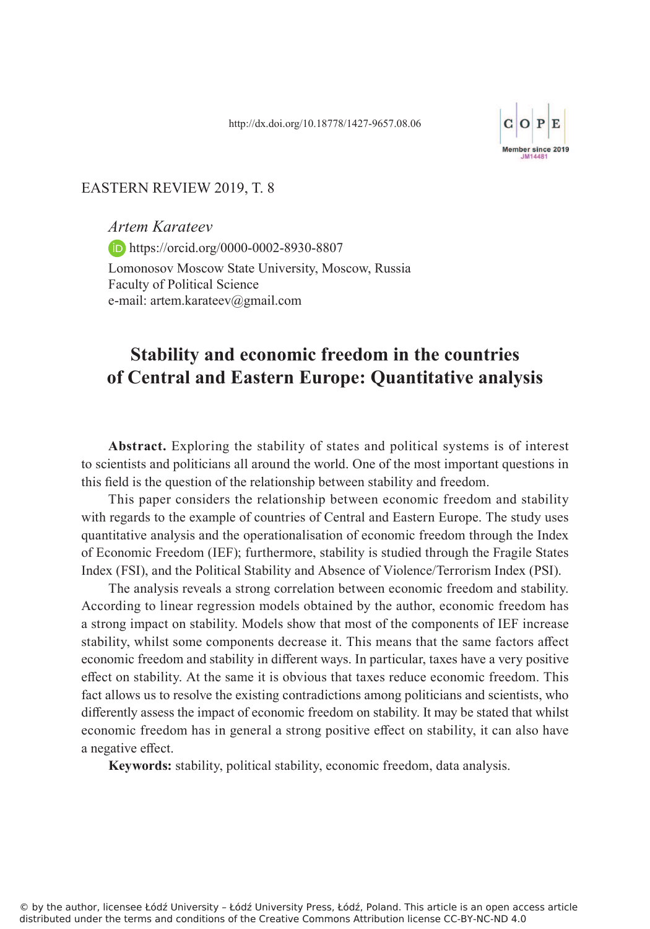

#### EASTERN REVIEW 2019, T. 8

*Artem Karateev*  https://orcid.org/0000-0002-8930-8807 Lomonosov Moscow State University, Moscow, Russia Faculty of Political Science e-mail: artem.karateev@gmail.com

# **Stability and economic freedom in the countries of Central and Eastern Europe: Quantitative analysis**

**Abstract.** Exploring the stability of states and political systems is of interest to scientists and politicians all around the world. One of the most important questions in this field is the question of the relationship between stability and freedom.

This paper considers the relationship between economic freedom and stability with regards to the example of countries of Central and Eastern Europe. The study uses quantitative analysis and the operationalisation of economic freedom through the Index of Economic Freedom (IEF); furthermore, stability is studied through the Fragile States Index (FSI), and the Political Stability and Absence of Violence/Terrorism Index (PSI).

The analysis reveals a strong correlation between economic freedom and stability. According to linear regression models obtained by the author, economic freedom has a strong impact on stability. Models show that most of the components of IEF increase stability, whilst some components decrease it. This means that the same factors affect economic freedom and stability in different ways. In particular, taxes have a very positive effect on stability. At the same it is obvious that taxes reduce economic freedom. This fact allows us to resolve the existing contradictions among politicians and scientists, who differently assess the impact of economic freedom on stability. It may be stated that whilst economic freedom has in general a strong positive effect on stability, it can also have a negative effect.

**Keywords:** stability, political stability, economic freedom, data analysis.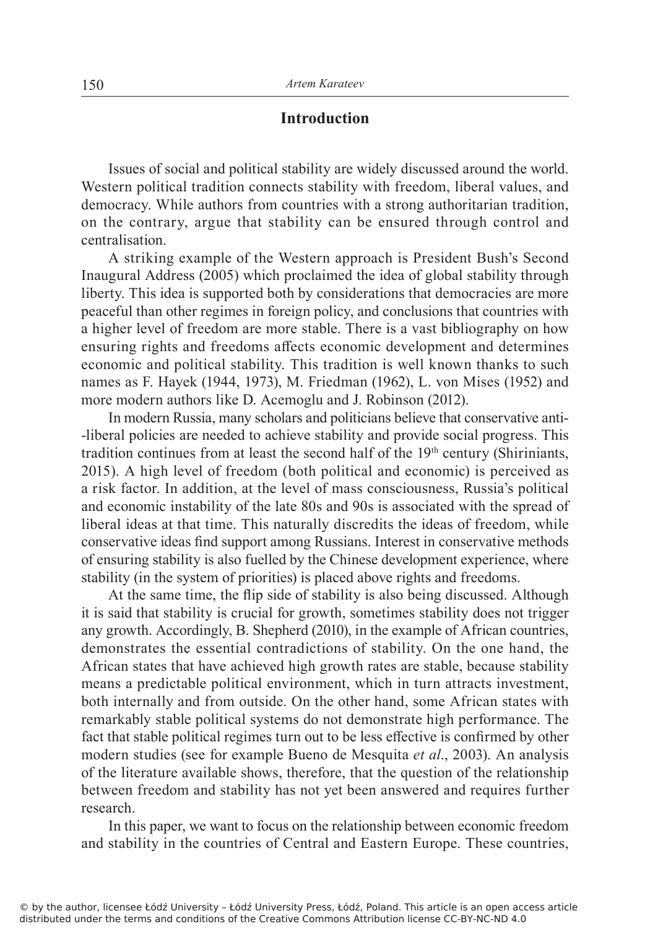## **Introduction**

Issues of social and political stability are widely discussed around the world. Western political tradition connects stability with freedom, liberal values, and democracy. While authors from countries with a strong authoritarian tradition, on the contrary, argue that stability can be ensured through control and centralisation.

A striking example of the Western approach is President Bush's Second Inaugural Address (2005) which proclaimed the idea of global stability through liberty. This idea is supported both by considerations that democracies are more peaceful than other regimes in foreign policy, and conclusions that countries with a higher level of freedom are more stable. There is a vast bibliography on how ensuring rights and freedoms affects economic development and determines economic and political stability. This tradition is well known thanks to such names as F. Hayek (1944, 1973), M. Friedman (1962), L. von Mises (1952) and more modern authors like D. Acemoglu and J. Robinson (2012).

In modern Russia, many scholars and politicians believe that conservative anti- -liberal policies are needed to achieve stability and provide social progress. This tradition continues from at least the second half of the  $19<sup>th</sup>$  century (Shiriniants, 2015). A high level of freedom (both political and economic) is perceived as a risk factor. In addition, at the level of mass consciousness, Russia's political and economic instability of the late 80s and 90s is associated with the spread of liberal ideas at that time. This naturally discredits the ideas of freedom, while conservative ideas find support among Russians. Interest in conservative methods of ensuring stability is also fuelled by the Chinese development experience, where stability (in the system of priorities) is placed above rights and freedoms.

At the same time, the flip side of stability is also being discussed. Although it is said that stability is crucial for growth, sometimes stability does not trigger any growth. Accordingly, B. Shepherd (2010), in the example of African countries, demonstrates the essential contradictions of stability. On the one hand, the African states that have achieved high growth rates are stable, because stability means a predictable political environment, which in turn attracts investment, both internally and from outside. On the other hand, some African states with remarkably stable political systems do not demonstrate high performance. The fact that stable political regimes turn out to be less effective is confirmed by other modern studies (see for example Bueno de Mesquita *et al*., 2003). An analysis of the literature available shows, therefore, that the question of the relationship between freedom and stability has not yet been answered and requires further research.

In this paper, we want to focus on the relationship between economic freedom and stability in the countries of Central and Eastern Europe. These countries,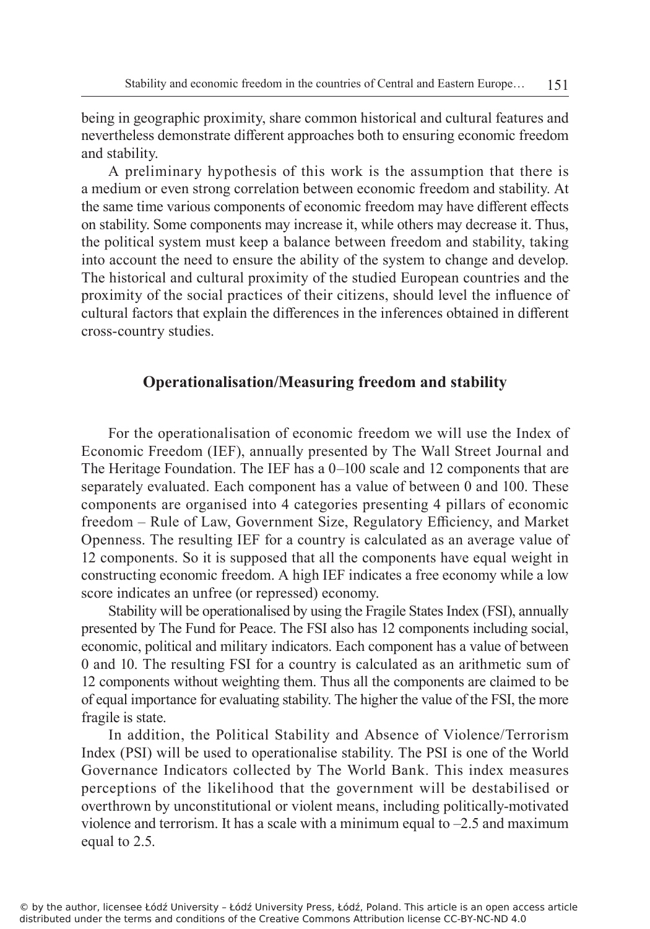being in geographic proximity, share common historical and cultural features and nevertheless demonstrate different approaches both to ensuring economic freedom and stability.

A preliminary hypothesis of this work is the assumption that there is a medium or even strong correlation between economic freedom and stability. At the same time various components of economic freedom may have different effects on stability. Some components may increase it, while others may decrease it. Thus, the political system must keep a balance between freedom and stability, taking into account the need to ensure the ability of the system to change and develop. The historical and cultural proximity of the studied European countries and the proximity of the social practices of their citizens, should level the influence of cultural factors that explain the differences in the inferences obtained in different cross-country studies.

### **Operationalisation/Measuring freedom and stability**

For the operationalisation of economic freedom we will use the Index of Economic Freedom (IEF), annually presented by The Wall Street Journal and The Heritage Foundation. The IEF has a 0–100 scale and 12 components that are separately evaluated. Each component has a value of between 0 and 100. These components are organised into 4 categories presenting 4 pillars of economic freedom – Rule of Law, Government Size, Regulatory Efficiency, and Market Openness. The resulting IEF for a country is calculated as an average value of 12 components. So it is supposed that all the components have equal weight in constructing economic freedom. A high IEF indicates a free economy while a low score indicates an unfree (or repressed) economy.

Stability will be operationalised by using the Fragile States Index (FSI), annually presented by The Fund for Peace. The FSI also has 12 components including social, economic, political and military indicators. Each component has a value of between 0 and 10. The resulting FSI for a country is calculated as an arithmetic sum of 12 components without weighting them. Thus all the components are claimed to be of equal importance for evaluating stability. The higher the value of the FSI, the more fragile is state.

In addition, the Political Stability and Absence of Violence/Terrorism Index (PSI) will be used to operationalise stability. The PSI is one of the World Governance Indicators collected by The World Bank. This index measures perceptions of the likelihood that the government will be destabilised or overthrown by unconstitutional or violent means, including politically-motivated violence and terrorism. It has a scale with a minimum equal to  $-2.5$  and maximum equal to 2.5.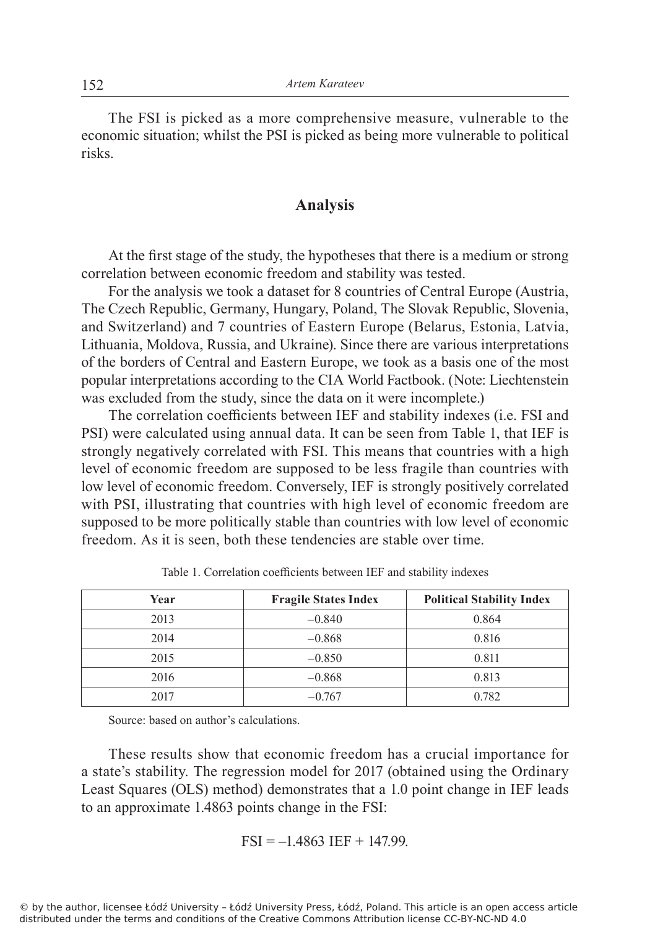The FSI is picked as a more comprehensive measure, vulnerable to the economic situation; whilst the PSI is picked as being more vulnerable to political risks.

## **Analysis**

At the first stage of the study, the hypotheses that there is a medium or strong correlation between economic freedom and stability was tested.

For the analysis we took a dataset for 8 countries of Central Europe (Austria, The Czech Republic, Germany, Hungary, Poland, The Slovak Republic, Slovenia, and Switzerland) and 7 countries of Eastern Europe (Belarus, Estonia, Latvia, Lithuania, Moldova, Russia, and Ukraine). Since there are various interpretations of the borders of Central and Eastern Europe, we took as a basis one of the most popular interpretations according to the CIA World Factbook. (Note: Liechtenstein was excluded from the study, since the data on it were incomplete.)

The correlation coefficients between IEF and stability indexes (i.e. FSI and PSI) were calculated using annual data. It can be seen from Table 1, that IEF is strongly negatively correlated with FSI. This means that countries with a high level of economic freedom are supposed to be less fragile than countries with low level of economic freedom. Conversely, IEF is strongly positively correlated with PSI, illustrating that countries with high level of economic freedom are supposed to be more politically stable than countries with low level of economic freedom. As it is seen, both these tendencies are stable over time.

| Year | <b>Fragile States Index</b> | <b>Political Stability Index</b> |
|------|-----------------------------|----------------------------------|
| 2013 | $-0.840$                    | 0.864                            |
| 2014 | $-0.868$                    | 0.816                            |
| 2015 | $-0.850$                    | 0.811                            |
| 2016 | $-0.868$                    | 0.813                            |
| 2017 | $-0.767$                    | 0.782                            |

Table 1. Correlation coefficients between IEF and stability indexes

Source: based on author's calculations.

These results show that economic freedom has a crucial importance for a state's stability. The regression model for 2017 (obtained using the Ordinary Least Squares (OLS) method) demonstrates that a 1.0 point change in IEF leads to an approximate 1.4863 points change in the FSI:

$$
FSI = -1.4863 IEF + 147.99.
$$

© by the author, licensee Łódź University – Łódź University Press, Łódź, Poland. This article is an open access article distributed under the terms and conditions of the Creative Commons Attribution license CC-BY-NC-ND 4.0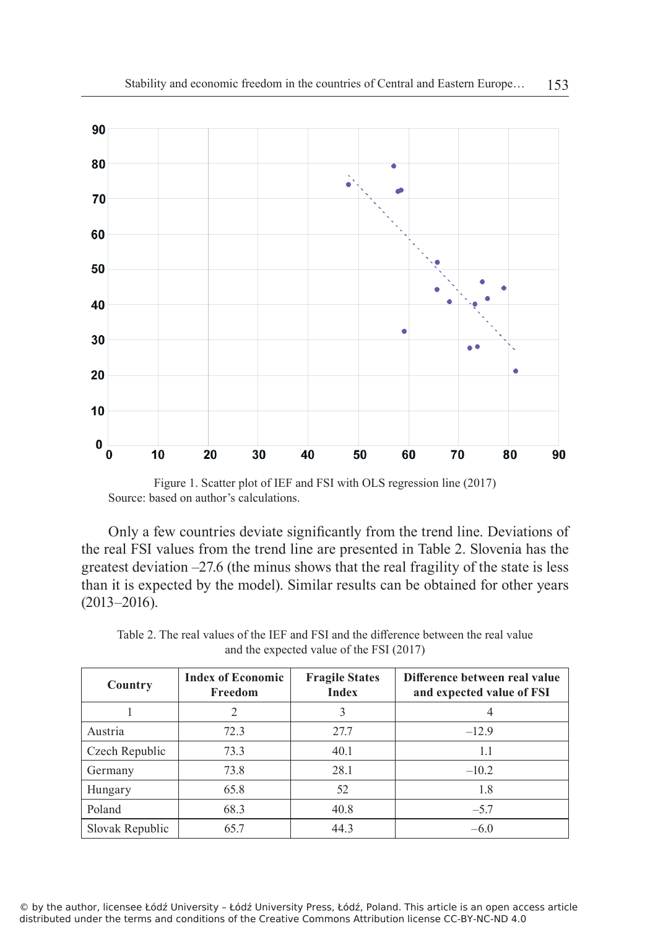

Figure 1. Scatter plot of IEF and FSI with OLS regression line (2017) Source: based on author's calculations.

Only a few countries deviate significantly from the trend line. Deviations of the real FSI values from the trend line are presented in Table 2. Slovenia has the greatest deviation –27.6 (the minus shows that the real fragility of the state is less than it is expected by the model). Similar results can be obtained for other years (2013–2016).

| Country         | <b>Index of Economic</b><br>Freedom | <b>Fragile States</b><br><b>Index</b> | Difference between real value<br>and expected value of FSI |
|-----------------|-------------------------------------|---------------------------------------|------------------------------------------------------------|
|                 |                                     |                                       |                                                            |
| Austria         | 72.3                                | 27.7                                  | $-12.9$                                                    |
| Czech Republic  | 73.3                                | 40.1                                  | 1.1                                                        |
| Germany         | 73.8                                | 28.1                                  | $-10.2$                                                    |
| Hungary         | 65.8                                | 52                                    | 1.8                                                        |
| Poland          | 68.3                                | 40.8                                  | $-5.7$                                                     |
| Slovak Republic | 65.7                                | 44.3                                  | $-6.0$                                                     |

Table 2. The real values of the IEF and FSI and the difference between the real value and the expected value of the FSI (2017)

© by the author, licensee Łódź University – Łódź University Press, Łódź, Poland. This article is an open access article distributed under the terms and conditions of the Creative Commons Attribution license CC-BY-NC-ND 4.0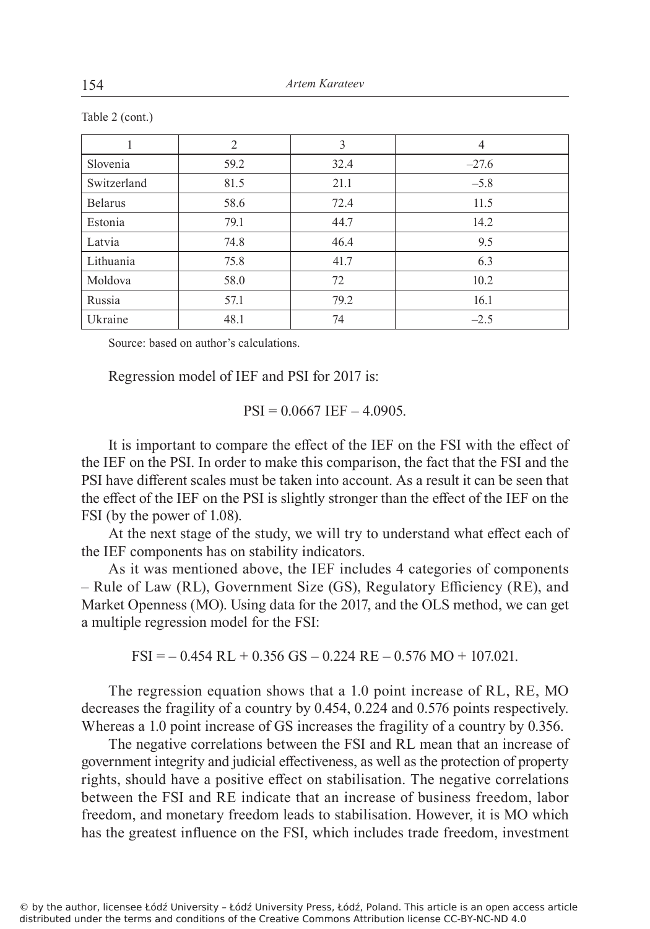|                | $\overline{2}$ | 3    | 4       |
|----------------|----------------|------|---------|
| Slovenia       | 59.2           | 32.4 | $-27.6$ |
| Switzerland    | 81.5           | 21.1 | $-5.8$  |
| <b>Belarus</b> | 58.6           | 72.4 | 11.5    |
| Estonia        | 79.1           | 44.7 | 14.2    |
| Latvia         | 74.8           | 46.4 | 9.5     |
| Lithuania      | 75.8           | 41.7 | 6.3     |
| Moldova        | 58.0           | 72   | 10.2    |
| Russia         | 57.1           | 79.2 | 16.1    |
| Ukraine        | 48.1           | 74   | $-2.5$  |

Table 2 (cont.)

Source: based on author's calculations.

Regression model of IEF and PSI for 2017 is:

 $PSI = 0.0667$  IEF  $- 4.0905$ .

It is important to compare the effect of the IEF on the FSI with the effect of the IEF on the PSI. In order to make this comparison, the fact that the FSI and the PSI have different scales must be taken into account. As a result it can be seen that the effect of the IEF on the PSI is slightly stronger than the effect of the IEF on the FSI (by the power of 1.08).

At the next stage of the study, we will try to understand what effect each of the IEF components has on stability indicators.

As it was mentioned above, the IEF includes 4 categories of components – Rule of Law (RL), Government Size (GS), Regulatory Efficiency (RE), and Market Openness (MO). Using data for the 2017, and the OLS method, we can get a multiple regression model for the FSI:

 $FSI = -0.454$  RL + 0.356 GS – 0.224 RE – 0.576 MO + 107.021.

The regression equation shows that a 1.0 point increase of RL, RE, MO decreases the fragility of a country by 0.454, 0.224 and 0.576 points respectively. Whereas a 1.0 point increase of GS increases the fragility of a country by 0.356.

The negative correlations between the FSI and RL mean that an increase of government integrity and judicial effectiveness, as well as the protection of property rights, should have a positive effect on stabilisation. The negative correlations between the FSI and RE indicate that an increase of business freedom, labor freedom, and monetary freedom leads to stabilisation. However, it is MO which has the greatest influence on the FSI, which includes trade freedom, investment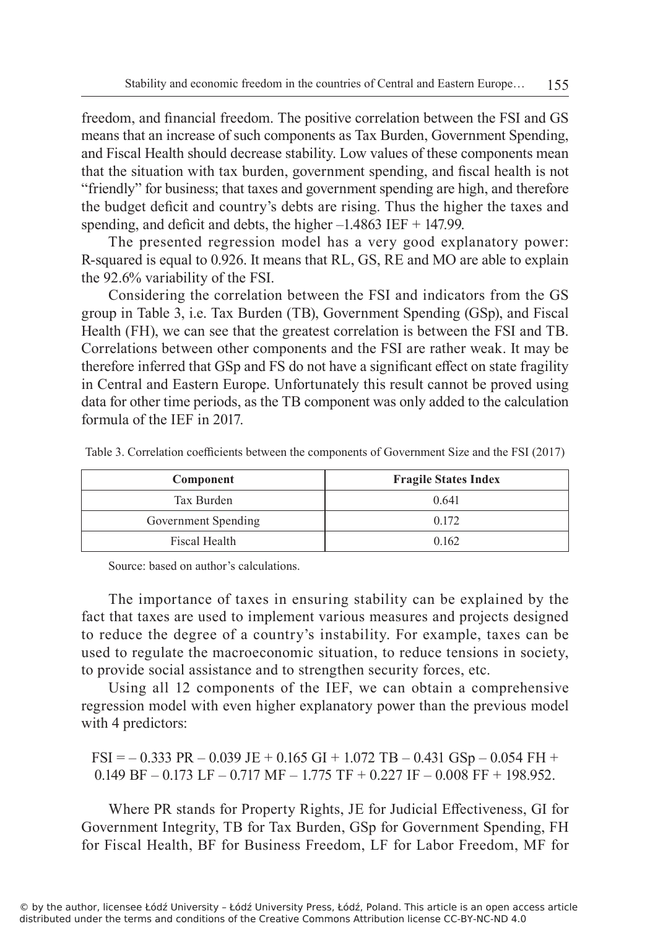freedom, and financial freedom. The positive correlation between the FSI and GS means that an increase of such components as Tax Burden, Government Spending, and Fiscal Health should decrease stability. Low values of these components mean that the situation with tax burden, government spending, and fiscal health is not "friendly" for business; that taxes and government spending are high, and therefore the budget deficit and country's debts are rising. Thus the higher the taxes and spending, and deficit and debts, the higher  $-1.4863$  IEF  $+$  147.99.

The presented regression model has a very good explanatory power: R-squared is equal to 0.926. It means that RL, GS, RE and MO are able to explain the 92.6% variability of the FSI.

Considering the correlation between the FSI and indicators from the GS group in Table 3, i.e. Tax Burden (TB), Government Spending (GSp), and Fiscal Health (FH), we can see that the greatest correlation is between the FSI and TB. Correlations between other components and the FSI are rather weak. It may be therefore inferred that GSp and FS do not have a significant effect on state fragility in Central and Eastern Europe. Unfortunately this result cannot be proved using data for other time periods, as the TB component was only added to the calculation formula of the IEF in 2017.

| Component           | <b>Fragile States Index</b> |
|---------------------|-----------------------------|
| Tax Burden          | 0.641                       |
| Government Spending | 0.172                       |
| Fiscal Health       | 0.162                       |

Table 3. Correlation coefficients between the components of Government Size and the FSI (2017)

Source: based on author's calculations.

The importance of taxes in ensuring stability can be explained by the fact that taxes are used to implement various measures and projects designed to reduce the degree of a country's instability. For example, taxes can be used to regulate the macroeconomic situation, to reduce tensions in society, to provide social assistance and to strengthen security forces, etc.

Using all 12 components of the IEF, we can obtain a comprehensive regression model with even higher explanatory power than the previous model with 4 predictors:

 $FSI = -0.333 PR - 0.039 JE + 0.165 GI + 1.072 TB - 0.431 GSp - 0.054 FH +$ 0.149 BF – 0.173 LF – 0.717 MF – 1.775 TF + 0.227 IF – 0.008 FF + 198.952.

Where PR stands for Property Rights, JE for Judicial Effectiveness, GI for Government Integrity, TB for Tax Burden, GSp for Government Spending, FH for Fiscal Health, BF for Business Freedom, LF for Labor Freedom, MF for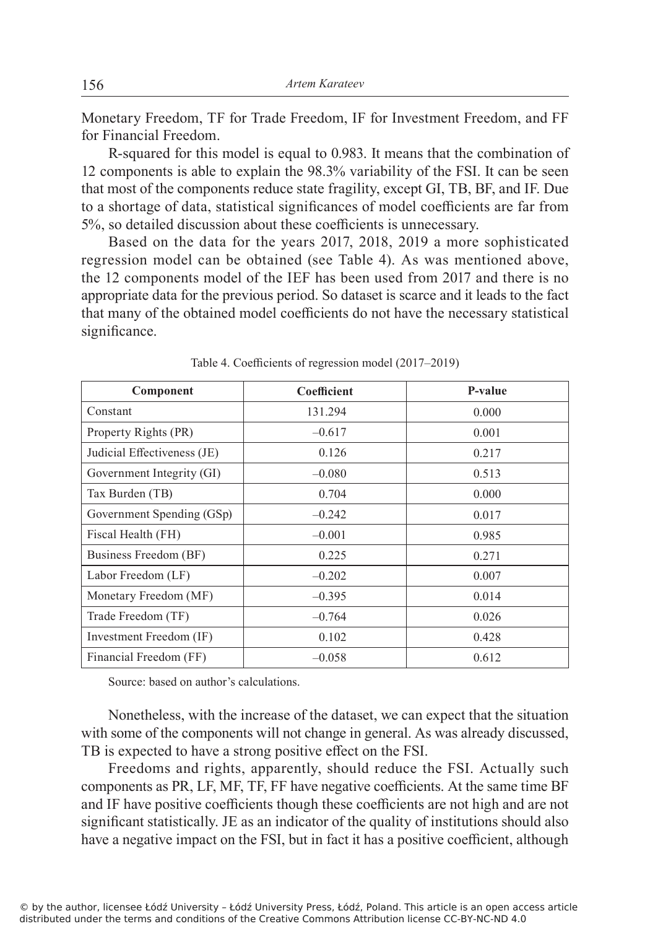Monetary Freedom, TF for Trade Freedom, IF for Investment Freedom, and FF for Financial Freedom.

R-squared for this model is equal to 0.983. It means that the combination of 12 components is able to explain the 98.3% variability of the FSI. It can be seen that most of the components reduce state fragility, except GI, TB, BF, and IF. Due to a shortage of data, statistical significances of model coefficients are far from 5%, so detailed discussion about these coefficients is unnecessary.

Based on the data for the years 2017, 2018, 2019 a more sophisticated regression model can be obtained (see Table 4). As was mentioned above, the 12 components model of the IEF has been used from 2017 and there is no appropriate data for the previous period. So dataset is scarce and it leads to the fact that many of the obtained model coefficients do not have the necessary statistical significance.

| Component                   | Coefficient | P-value |
|-----------------------------|-------------|---------|
| Constant                    | 131.294     | 0.000   |
| Property Rights (PR)        | $-0.617$    | 0.001   |
| Judicial Effectiveness (JE) | 0.126       | 0.217   |
| Government Integrity (GI)   | $-0.080$    | 0.513   |
| Tax Burden (TB)             | 0.704       | 0.000   |
| Government Spending (GSp)   | $-0.242$    | 0.017   |
| Fiscal Health (FH)          | $-0.001$    | 0.985   |
| Business Freedom (BF)       | 0.225       | 0.271   |
| Labor Freedom (LF)          | $-0.202$    | 0.007   |
| Monetary Freedom (MF)       | $-0.395$    | 0.014   |
| Trade Freedom (TF)          | $-0.764$    | 0.026   |
| Investment Freedom (IF)     | 0.102       | 0.428   |
| Financial Freedom (FF)      | $-0.058$    | 0.612   |

Table 4. Coefficients of regression model (2017–2019)

Source: based on author's calculations.

Nonetheless, with the increase of the dataset, we can expect that the situation with some of the components will not change in general. As was already discussed, TB is expected to have a strong positive effect on the FSI.

Freedoms and rights, apparently, should reduce the FSI. Actually such components as PR, LF, MF, TF, FF have negative coefficients. At the same time BF and IF have positive coefficients though these coefficients are not high and are not significant statistically. JE as an indicator of the quality of institutions should also have a negative impact on the FSI, but in fact it has a positive coefficient, although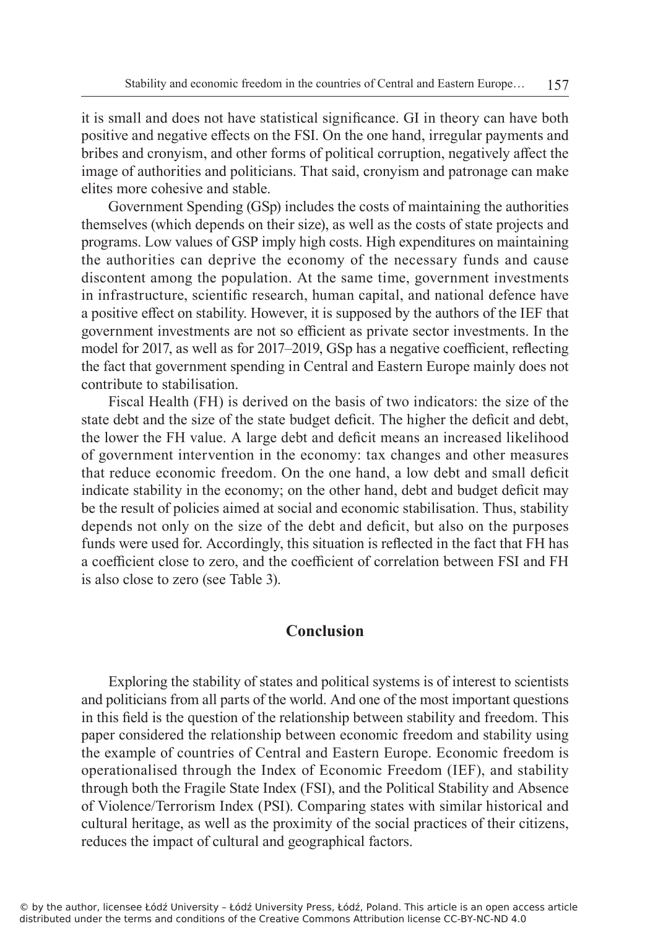it is small and does not have statistical significance. GI in theory can have both positive and negative effects on the FSI. On the one hand, irregular payments and bribes and cronyism, and other forms of political corruption, negatively affect the image of authorities and politicians. That said, cronyism and patronage can make elites more cohesive and stable.

Government Spending (GSp) includes the costs of maintaining the authorities themselves (which depends on their size), as well as the costs of state projects and programs. Low values of GSP imply high costs. High expenditures on maintaining the authorities can deprive the economy of the necessary funds and cause discontent among the population. At the same time, government investments in infrastructure, scientific research, human capital, and national defence have a positive effect on stability. However, it is supposed by the authors of the IEF that government investments are not so efficient as private sector investments. In the model for 2017, as well as for 2017–2019, GSp has a negative coefficient, reflecting the fact that government spending in Central and Eastern Europe mainly does not contribute to stabilisation.

Fiscal Health (FH) is derived on the basis of two indicators: the size of the state debt and the size of the state budget deficit. The higher the deficit and debt, the lower the FH value. A large debt and deficit means an increased likelihood of government intervention in the economy: tax changes and other measures that reduce economic freedom. On the one hand, a low debt and small deficit indicate stability in the economy; on the other hand, debt and budget deficit may be the result of policies aimed at social and economic stabilisation. Thus, stability depends not only on the size of the debt and deficit, but also on the purposes funds were used for. Accordingly, this situation is reflected in the fact that FH has a coefficient close to zero, and the coefficient of correlation between FSI and FH is also close to zero (see Table 3).

## **Conclusion**

Exploring the stability of states and political systems is of interest to scientists and politicians from all parts of the world. And one of the most important questions in this field is the question of the relationship between stability and freedom. This paper considered the relationship between economic freedom and stability using the example of countries of Central and Eastern Europe. Economic freedom is operationalised through the Index of Economic Freedom (IEF), and stability through both the Fragile State Index (FSI), and the Political Stability and Absence of Violence/Terrorism Index (PSI). Comparing states with similar historical and cultural heritage, as well as the proximity of the social practices of their citizens, reduces the impact of cultural and geographical factors.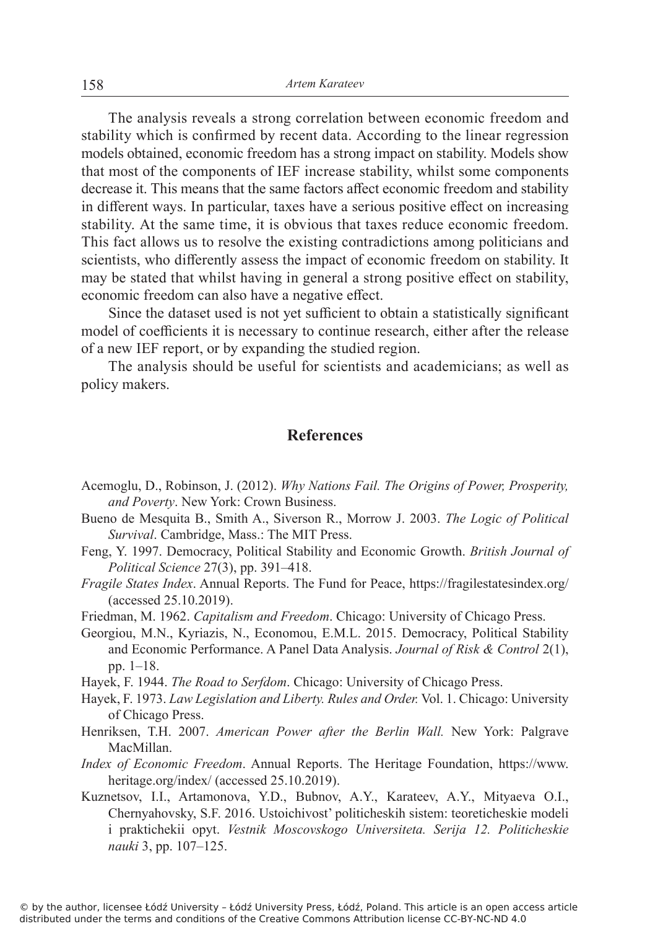The analysis reveals a strong correlation between economic freedom and stability which is confirmed by recent data. According to the linear regression models obtained, economic freedom has a strong impact on stability. Models show that most of the components of IEF increase stability, whilst some components decrease it. This means that the same factors affect economic freedom and stability in different ways. In particular, taxes have a serious positive effect on increasing stability. At the same time, it is obvious that taxes reduce economic freedom. This fact allows us to resolve the existing contradictions among politicians and scientists, who differently assess the impact of economic freedom on stability. It may be stated that whilst having in general a strong positive effect on stability, economic freedom can also have a negative effect.

Since the dataset used is not yet sufficient to obtain a statistically significant model of coefficients it is necessary to continue research, either after the release of a new IEF report, or by expanding the studied region.

The analysis should be useful for scientists and academicians; as well as policy makers.

## **References**

- Acemoglu, D., Robinson, J. (2012). *Why Nations Fail. The Origins of Power, Prosperity, and Poverty*. New York: Crown Business.
- Bueno de Mesquita B., Smith A., Siverson R., Morrow J. 2003. *The Logic of Political Survival*. Cambridge, Mass.: The MIT Press.
- Feng, Y. 1997. Democracy, Political Stability and Economic Growth. *British Journal of Political Science* 27(3), pp. 391–418.
- *Fragile States Index*. Annual Reports. The Fund for Peace, https://fragilestatesindex.org/ (accessed 25.10.2019).
- Friedman, M. 1962. *Capitalism and Freedom*. Chicago: University of Chicago Press.
- Georgiou, M.N., Kyriazis, N., Economou, E.M.L. 2015. Democracy, Political Stability and Economic Performance. A Panel Data Analysis. *Journal of Risk & Control* 2(1), pp. 1–18.
- Hayek, F. 1944. *The Road to Serfdom*. Chicago: University of Chicago Press.
- Hayek, F. 1973. *Law Legislation and Liberty. Rules and Order.* Vol. 1. Chicago: University of Chicago Press.
- Henriksen, T.H. 2007. *American Power after the Berlin Wall.* New York: Palgrave MacMillan.
- *Index of Economic Freedom*. Annual Reports. The Heritage Foundation, https://www. heritage.org/index/ (accessed 25.10.2019).
- Kuznetsov, I.I., Artamonova, Y.D., Bubnov, A.Y., Karateev, A.Y., Mityaeva O.I., Chernyahovsky, S.F. 2016. Ustoichivost' politicheskih sistem: teoreticheskie modeli i praktichekii opyt. *Vestnik Moscovskogo Universiteta. Serija 12. Politicheskie nauki* 3, pp. 107–125.